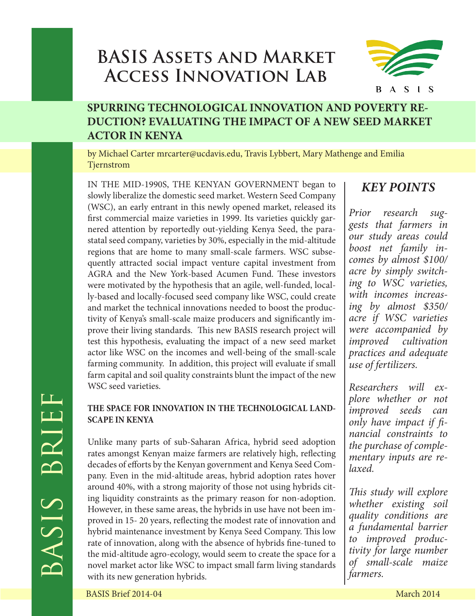# **BASIS Assets and Market Access Innovation Lab**



## **SPURRING TECHNOLOGICAL INNOVATION AND POVERTY RE-DUCTION? EVALUATING THE IMPACT OF A NEW SEED MARKET ACTOR IN KENYA**

by Michael Carter mrcarter@ucdavis.edu, Travis Lybbert, Mary Mathenge and Emilia Tjernstrom

IN THE MID-1990S, THE KENYAN GOVERNMENT began to slowly liberalize the domestic seed market. Western Seed Company (WSC), an early entrant in this newly opened market, released its first commercial maize varieties in 1999. Its varieties quickly garnered attention by reportedly out-yielding Kenya Seed, the parastatal seed company, varieties by 30%, especially in the mid-altitude regions that are home to many small-scale farmers. WSC subsequently attracted social impact venture capital investment from AGRA and the New York-based Acumen Fund. These investors were motivated by the hypothesis that an agile, well-funded, locally-based and locally-focused seed company like WSC, could create and market the technical innovations needed to boost the productivity of Kenya's small-scale maize producers and significantly improve their living standards. This new BASIS research project will test this hypothesis, evaluating the impact of a new seed market actor like WSC on the incomes and well-being of the small-scale farming community. In addition, this project will evaluate if small farm capital and soil quality constraints blunt the impact of the new WSC seed varieties.

### **THE SPACE FOR INNOVATION IN THE TECHNOLOGICAL LAND-SCAPE IN KENYA**

WSC seed varieties.<br>
THE SPACE FOR INNOVATION IN THE TECHNOLOGICAL LAND-<br>
SCAPE IN KENYA<br>
SCAPE IN KENYA<br>
SCAPE IN KENYA<br>
Unlike many parts of sub-Saharan Africa, hybrid seed adoption<br>
the purchase of completes are smongst Unlike many parts of sub-Saharan Africa, hybrid seed adoption rates amongst Kenyan maize farmers are relatively high, reflecting decades of efforts by the Kenyan government and Kenya Seed Company. Even in the mid-altitude areas, hybrid adoption rates hover around 40%, with a strong majority of those not using hybrids citing liquidity constraints as the primary reason for non-adoption. However, in these same areas, the hybrids in use have not been improved in 15- 20 years, reflecting the modest rate of innovation and hybrid maintenance investment by Kenya Seed Company. This low rate of innovation, along with the absence of hybrids fine-tuned to the mid-altitude agro-ecology, would seem to create the space for a novel market actor like WSC to impact small farm living standards with its new generation hybrids.

## *KEY POINTS*

*Prior research suggests that farmers in our study areas could boost net family incomes by almost \$100/ acre by simply switching to WSC varieties, with incomes increasing by almost \$350/ acre if WSC varieties were accompanied by improved cultivation practices and adequate use of fertilizers.*

*Researchers will explore whether or not improved seeds can only have impact if financial constraints to the purchase of complementary inputs are relaxed.*

*This study will explore whether existing soil quality conditions are a fundamental barrier to improved productivity for large number of small-scale maize farmers.*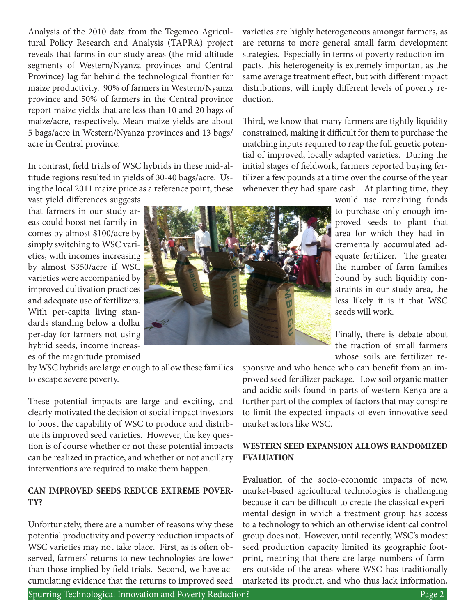Analysis of the 2010 data from the Tegemeo Agricultural Policy Research and Analysis (TAPRA) project reveals that farms in our study areas (the mid-altitude segments of Western/Nyanza provinces and Central Province) lag far behind the technological frontier for maize productivity. 90% of farmers in Western/Nyanza province and 50% of farmers in the Central province report maize yields that are less than 10 and 20 bags of maize/acre, respectively. Mean maize yields are about 5 bags/acre in Western/Nyanza provinces and 13 bags/ acre in Central province.

In contrast, field trials of WSC hybrids in these mid-altitude regions resulted in yields of 30-40 bags/acre. Using the local 2011 maize price as a reference point, these

vast yield differences suggests that farmers in our study areas could boost net family incomes by almost \$100/acre by simply switching to WSC varieties, with incomes increasing by almost \$350/acre if WSC varieties were accompanied by improved cultivation practices and adequate use of fertilizers. With per-capita living standards standing below a dollar per-day for farmers not using hybrid seeds, income increases of the magnitude promised

by WSC hybrids are large enough to allow these families to escape severe poverty.

These potential impacts are large and exciting, and clearly motivated the decision of social impact investors to boost the capability of WSC to produce and distribute its improved seed varieties. However, the key question is of course whether or not these potential impacts can be realized in practice, and whether or not ancillary interventions are required to make them happen.

#### **CAN IMPROVED SEEDS REDUCE EXTREME POVER-TY?**

Unfortunately, there are a number of reasons why these potential productivity and poverty reduction impacts of WSC varieties may not take place. First, as is often observed, farmers' returns to new technologies are lower than those implied by field trials. Second, we have accumulating evidence that the returns to improved seed

varieties are highly heterogeneous amongst farmers, as are returns to more general small farm development strategies. Especially in terms of poverty reduction impacts, this heterogeneity is extremely important as the same average treatment effect, but with different impact distributions, will imply different levels of poverty reduction.

Third, we know that many farmers are tightly liquidity constrained, making it difficult for them to purchase the matching inputs required to reap the full genetic potential of improved, locally adapted varieties. During the initial stages of fieldwork, farmers reported buying fertilizer a few pounds at a time over the course of the year whenever they had spare cash. At planting time, they

> would use remaining funds to purchase only enough improved seeds to plant that area for which they had incrementally accumulated adequate fertilizer. The greater the number of farm families bound by such liquidity constraints in our study area, the less likely it is it that WSC seeds will work.

> Finally, there is debate about the fraction of small farmers whose soils are fertilizer re-

sponsive and who hence who can benefit from an improved seed fertilizer package. Low soil organic matter and acidic soils found in parts of western Kenya are a further part of the complex of factors that may conspire to limit the expected impacts of even innovative seed market actors like WSC.

#### **WESTERN SEED EXPANSION ALLOWS RANDOMIZED EVALUATION**

Evaluation of the socio-economic impacts of new, market-based agricultural technologies is challenging because it can be difficult to create the classical experimental design in which a treatment group has access to a technology to which an otherwise identical control group does not. However, until recently, WSC's modest seed production capacity limited its geographic footprint, meaning that there are large numbers of farmers outside of the areas where WSC has traditionally marketed its product, and who thus lack information,

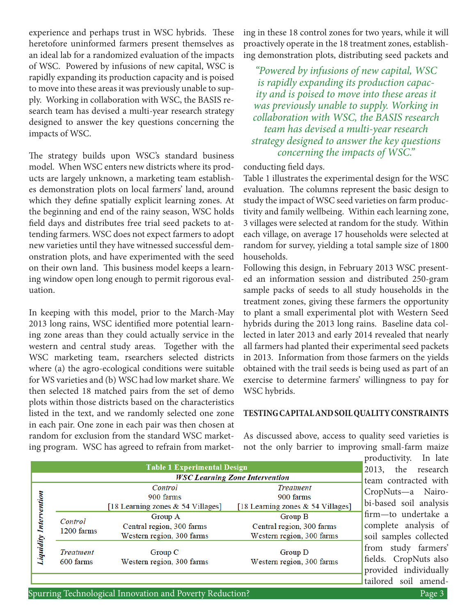experience and perhaps trust in WSC hybrids. These heretofore uninformed farmers present themselves as an ideal lab for a randomized evaluation of the impacts of WSC. Powered by infusions of new capital, WSC is rapidly expanding its production capacity and is poised to move into these areas it was previously unable to supply. Working in collaboration with WSC, the BASIS research team has devised a multi-year research strategy designed to answer the key questions concerning the impacts of WSC.

The strategy builds upon WSC's standard business model. When WSC enters new districts where its products are largely unknown, a marketing team establishes demonstration plots on local farmers' land, around which they define spatially explicit learning zones. At the beginning and end of the rainy season, WSC holds field days and distributes free trial seed packets to attending farmers. WSC does not expect farmers to adopt new varieties until they have witnessed successful demonstration plots, and have experimented with the seed on their own land. This business model keeps a learning window open long enough to permit rigorous evaluation.

In keeping with this model, prior to the March-May 2013 long rains, WSC identified more potential learning zone areas than they could actually service in the western and central study areas. Together with the WSC marketing team, rsearchers selected districts where (a) the agro-ecological conditions were suitable for WS varieties and (b) WSC had low market share. We then selected 18 matched pairs from the set of demo plots within those districts based on the characteristics listed in the text, and we randomly selected one zone in each pair. One zone in each pair was then chosen at random for exclusion from the standard WSC marketing program. WSC has agreed to refrain from marketing in these 18 control zones for two years, while it will proactively operate in the 18 treatment zones, establishing demonstration plots, distributing seed packets and

*"Powered by infusions of new capital, WSC is rapidly expanding its production capacity and is poised to move into these areas it was previously unable to supply. Working in collaboration with WSC, the BASIS research team has devised a multi-year research strategy designed to answer the key questions concerning the impacts of WSC."*

conducting field days.

Table 1 illustrates the experimental design for the WSC evaluation. The columns represent the basic design to study the impact of WSC seed varieties on farm productivity and family wellbeing. Within each learning zone, 3 villages were selected at random for the study. Within each village, on average 17 households were selected at random for survey, yielding a total sample size of 1800 households.

Following this design, in February 2013 WSC presented an information session and distributed 250-gram sample packs of seeds to all study households in the treatment zones, giving these farmers the opportunity to plant a small experimental plot with Western Seed hybrids during the 2013 long rains. Baseline data collected in later 2013 and early 2014 revealed that nearly all farmers had planted their experimental seed packets in 2013. Information from those farmers on the yields obtained with the trail seeds is being used as part of an exercise to determine farmers' willingness to pay for WSC hybrids.

#### **TESTING CAPITAL AND SOIL QUALITY CONSTRAINTS**

As discussed above, access to quality seed varieties is not the only barrier to improving small-farm maize

|                               |                                       | <b>Table 1 Experimental Design</b>                                |                                                                    | 2013                  |
|-------------------------------|---------------------------------------|-------------------------------------------------------------------|--------------------------------------------------------------------|-----------------------|
|                               | <b>WSC Learning Zone Intervention</b> |                                                                   |                                                                    | tean                  |
| <b>Liquidity Intervention</b> |                                       | Control<br>900 farms<br>[18 Learning zones & 54 Villages]         | <b>Treatment</b><br>900 farms<br>[18 Learning zones & 54 Villages] | Cro<br>bi-b           |
|                               | Control<br>1200 farms                 | Group A<br>Central region, 300 farms<br>Western region, 300 farms | Group B<br>Central region, 300 farms<br>Western region, 300 farms  | firm<br>com<br>soil   |
|                               | <b>Treatment</b><br>600 farms         | Group C<br>Western region, 300 farms                              | Group D<br>Western region, 300 farms                               | fron<br>field<br>prov |

ductivity. In late 3, the research n contracted with pNuts—a Nairoased soil analysis —to undertake a plete analysis of samples collected n study farmers' s. CropNuts also ided individually tailored soil amend